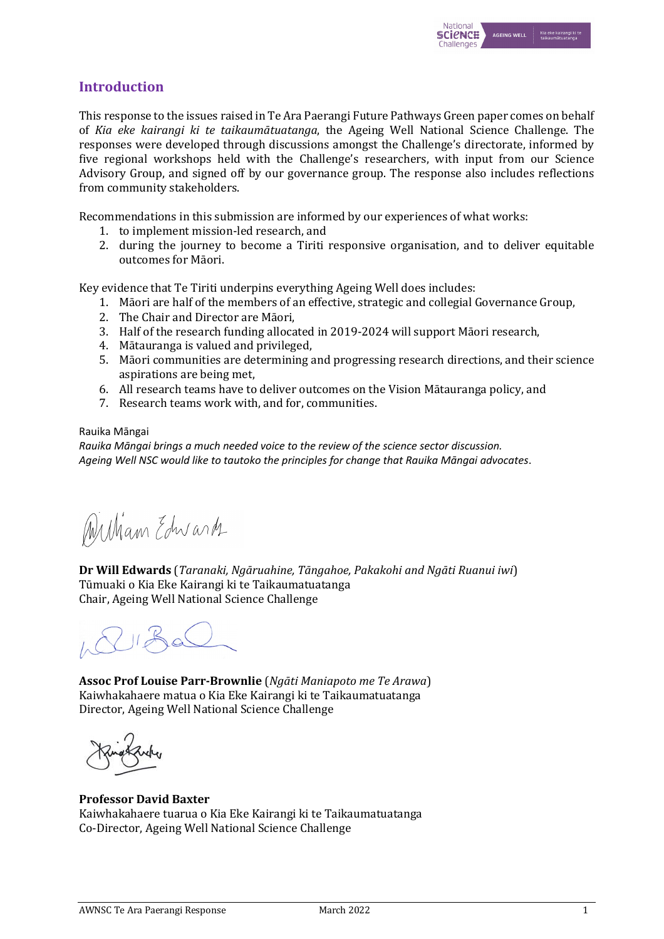

# **Introduction**

This response to the issues raised in Te Ara Paerangi Future Pathways Green paper comes on behalf of *Kia eke kairangi ki te taikaumātuatanga*, the Ageing Well National Science Challenge. The responses were developed through discussions amongst the Challenge's directorate, informed by five regional workshops held with the Challenge's researchers, with input from our Science Advisory Group, and signed off by our governance group. The response also includes reflections from community stakeholders.

Recommendations in this submission are informed by our experiences of what works:

- 1. to implement mission-led research, and
- 2. during the journey to become a Tiriti responsive organisation, and to deliver equitable outcomes for Māori.

Key evidence that Te Tiriti underpins everything Ageing Well does includes:

- 1. Māori are half of the members of an effective, strategic and collegial Governance Group,
- 2. The Chair and Director are Māori,
- 3. Half of the research funding allocated in 2019-2024 will support Māori research.
- 4. Mātauranga is valued and privileged,
- 5. Māori communities are determining and progressing research directions, and their science aspirations are being met,
- 6. All research teams have to deliver outcomes on the Vision Mātauranga policy, and
- 7. Research teams work with, and for, communities.

#### Rauika Māngai

*Rauika Māngai brings a much needed voice to the review of the science sector discussion. Ageing Well NSC would like to tautoko the principles for change that Rauika Māngai advocates*.

William Edwards

**Dr Will Edwards** (*Taranaki, Ngāruahine, Tāngahoe, Pakakohi and Ngāti Ruanui iwi*) Tūmuaki o Kia Eke Kairangi ki te Taikaumatuatanga Chair, Ageing Well National Science Challenge

 $1180$ 

**Assoc Prof Louise Parr-Brownlie** (*Ngāti Maniapoto me Te Arawa*) Kaiwhakahaere matua o Kia Eke Kairangi ki te Taikaumatuatanga Director, Ageing Well National Science Challenge

## **Professor David Baxter**

Kaiwhakahaere tuarua o Kia Eke Kairangi ki te Taikaumatuatanga Co-Director, Ageing Well National Science Challenge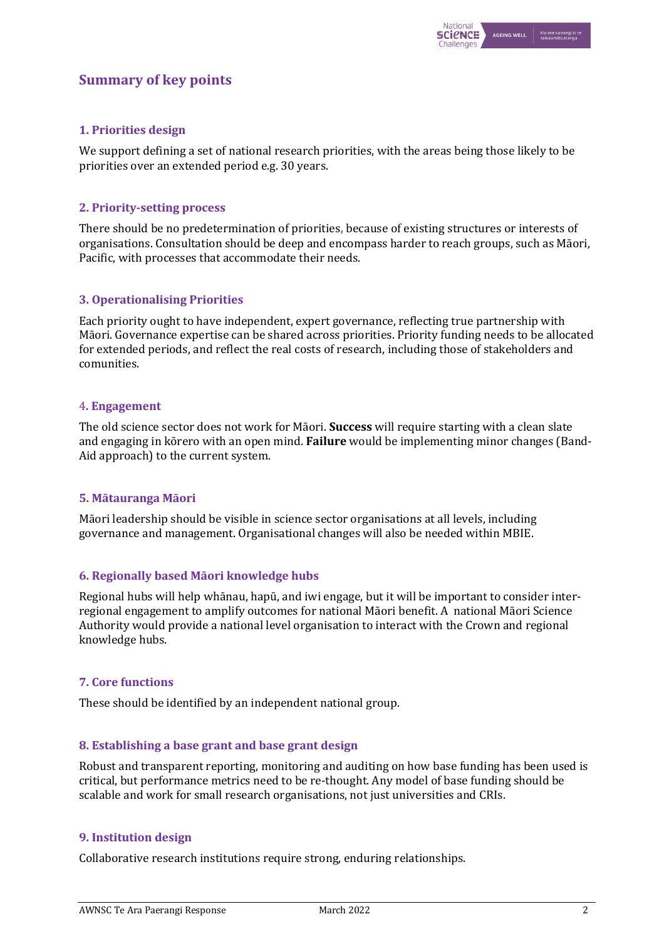# **Summary of key points**

## **1. Priorities design**

We support defining a set of national research priorities, with the areas being those likely to be priorities over an extended period e.g. 30 years.

### **2. Priority-setting process**

There should be no predetermination of priorities, because of existing structures or interests of organisations. Consultation should be deep and encompass harder to reach groups, such as Māori, Pacific, with processes that accommodate their needs.

### **3. Operationalising Priorities**

Each priority ought to have independent, expert governance, reflecting true partnership with Māori. Governance expertise can be shared across priorities. Priority funding needs to be allocated for extended periods, and reflect the real costs of research, including those of stakeholders and comunities.

### 4**. Engagement**

The old science sector does not work for Māori. **Success** will require starting with a clean slate and engaging in kōrero with an open mind. **Failure** would be implementing minor changes (Band-Aid approach) to the current system.

#### **5. Mātauranga Māori**

Māori leadership should be visible in science sector organisations at all levels, including governance and management. Organisational changes will also be needed within MBIE.

#### **6. Regionally based Māori knowledge hubs**

Regional hubs will help whānau, hapū, and iwi engage, but it will be important to consider interregional engagement to amplify outcomes for national Māori benefit. A national Māori Science Authority would provide a national level organisation to interact with the Crown and regional knowledge hubs.

## **7. Core functions**

These should be identified by an independent national group.

## **8.** Establishing a base grant and base grant design

Robust and transparent reporting, monitoring and auditing on how base funding has been used is critical, but performance metrics need to be re-thought. Any model of base funding should be scalable and work for small research organisations, not just universities and CRIs.

#### **9. Institution design**

Collaborative research institutions require strong, enduring relationships.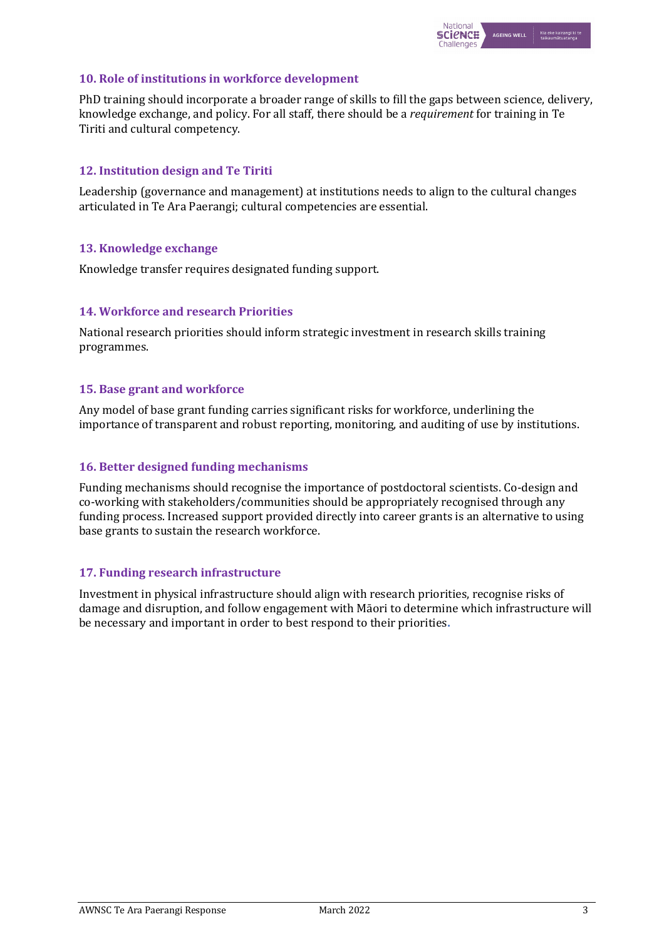

### **10. Role of institutions in workforce development**

PhD training should incorporate a broader range of skills to fill the gaps between science, delivery, knowledge exchange, and policy. For all staff, there should be a *requirement* for training in Te Tiriti and cultural competency.

## **12. Institution design and Te Tiriti**

Leadership (governance and management) at institutions needs to align to the cultural changes articulated in Te Ara Paerangi; cultural competencies are essential.

### **13. Knowledge exchange**

Knowledge transfer requires designated funding support.

## **14. Workforce and research Priorities**

National research priorities should inform strategic investment in research skills training programmes.

#### **15. Base grant and workforce**

Any model of base grant funding carries significant risks for workforce, underlining the importance of transparent and robust reporting, monitoring, and auditing of use by institutions.

#### **16. Better designed funding mechanisms**

Funding mechanisms should recognise the importance of postdoctoral scientists. Co-design and co-working with stakeholders/communities should be appropriately recognised through any funding process. Increased support provided directly into career grants is an alternative to using base grants to sustain the research workforce.

#### **17. Funding research infrastructure**

Investment in physical infrastructure should align with research priorities, recognise risks of damage and disruption, and follow engagement with Māori to determine which infrastructure will be necessary and important in order to best respond to their priorities.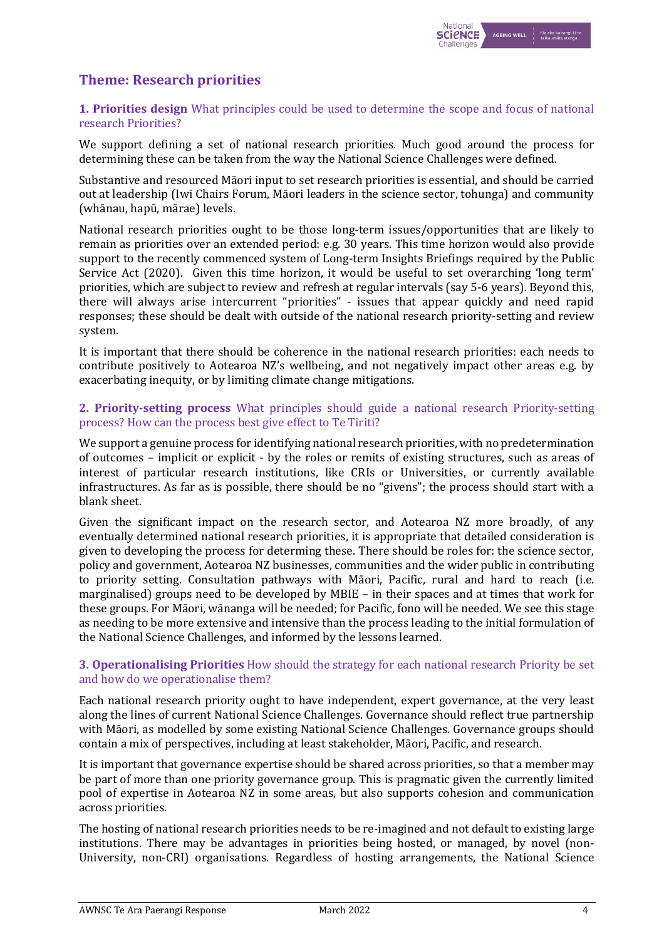# **Theme: Research priorities**

## **1. Priorities design** What principles could be used to determine the scope and focus of national research Priorities?

We support defining a set of national research priorities. Much good around the process for determining these can be taken from the way the National Science Challenges were defined.

Substantive and resourced Māori input to set research priorities is essential, and should be carried out at leadership (Iwi Chairs Forum, Māori leaders in the science sector, tohunga) and community (whānau, hapū, mārae) levels.

National research priorities ought to be those long-term issues/opportunities that are likely to remain as priorities over an extended period: e.g. 30 years. This time horizon would also provide support to the recently commenced system of Long-term Insights Briefings required by the Public Service Act (2020). Given this time horizon, it would be useful to set overarching 'long term' priorities, which are subject to review and refresh at regular intervals (say 5-6 years). Beyond this, there will always arise intercurrent "priorities" - issues that appear quickly and need rapid responses; these should be dealt with outside of the national research priority-setting and review system.

It is important that there should be coherence in the national research priorities: each needs to contribute positively to Aotearoa NZ's wellbeing, and not negatively impact other areas e.g. by exacerbating inequity, or by limiting climate change mitigations.

#### **2. Priority-setting process** What principles should guide a national research Priority-setting process? How can the process best give effect to Te Tiriti?

We support a genuine process for identifying national research priorities, with no predetermination of outcomes – implicit or explicit - by the roles or remits of existing structures, such as areas of interest of particular research institutions, like CRIs or Universities, or currently available infrastructures. As far as is possible, there should be no "givens"; the process should start with a blank sheet.

Given the significant impact on the research sector, and Aotearoa NZ more broadly, of any eventually determined national research priorities, it is appropriate that detailed consideration is given to developing the process for determing these. There should be roles for: the science sector, policy and government, Aotearoa NZ businesses, communities and the wider public in contributing to priority setting. Consultation pathways with Māori, Pacific, rural and hard to reach (i.e. marginalised) groups need to be developed by MBIE – in their spaces and at times that work for these groups. For Māori, wānanga will be needed; for Pacific, fono will be needed. We see this stage as needing to be more extensive and intensive than the process leading to the initial formulation of the National Science Challenges, and informed by the lessons learned.

### **3. Operationalising Priorities** How should the strategy for each national research Priority be set and how do we operationalise them?

Each national research priority ought to have independent, expert governance, at the very least along the lines of current National Science Challenges. Governance should reflect true partnership with Māori, as modelled by some existing National Science Challenges. Governance groups should contain a mix of perspectives, including at least stakeholder, Māori, Pacific, and research.

It is important that governance expertise should be shared across priorities, so that a member may be part of more than one priority governance group. This is pragmatic given the currently limited pool of expertise in Aotearoa NZ in some areas, but also supports cohesion and communication across priorities.

The hosting of national research priorities needs to be re-imagined and not default to existing large institutions. There may be advantages in priorities being hosted, or managed, by novel (non-University, non-CRI) organisations. Regardless of hosting arrangements, the National Science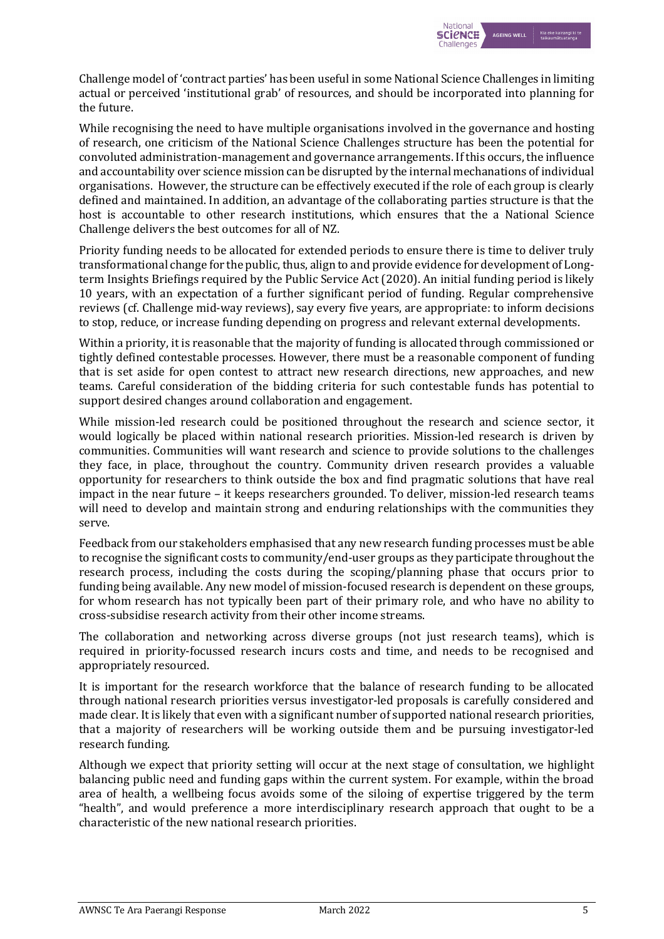

Challenge model of 'contract parties' has been useful in some National Science Challenges in limiting actual or perceived 'institutional grab' of resources, and should be incorporated into planning for the future.

While recognising the need to have multiple organisations involved in the governance and hosting of research, one criticism of the National Science Challenges structure has been the potential for convoluted administration-management and governance arrangements. If this occurs, the influence and accountability over science mission can be disrupted by the internal mechanations of individual organisations. However, the structure can be effectively executed if the role of each group is clearly defined and maintained. In addition, an advantage of the collaborating parties structure is that the host is accountable to other research institutions, which ensures that the a National Science Challenge delivers the best outcomes for all of NZ.

Priority funding needs to be allocated for extended periods to ensure there is time to deliver truly transformational change for the public, thus, align to and provide evidence for development of Longterm Insights Briefings required by the Public Service Act (2020). An initial funding period is likely 10 years, with an expectation of a further significant period of funding. Regular comprehensive reviews (cf. Challenge mid-way reviews), say every five years, are appropriate: to inform decisions to stop, reduce, or increase funding depending on progress and relevant external developments.

Within a priority, it is reasonable that the majority of funding is allocated through commissioned or tightly defined contestable processes. However, there must be a reasonable component of funding that is set aside for open contest to attract new research directions, new approaches, and new teams. Careful consideration of the bidding criteria for such contestable funds has potential to support desired changes around collaboration and engagement.

While mission-led research could be positioned throughout the research and science sector, it would logically be placed within national research priorities. Mission-led research is driven by communities. Communities will want research and science to provide solutions to the challenges they face, in place, throughout the country. Community driven research provides a valuable opportunity for researchers to think outside the box and find pragmatic solutions that have real impact in the near future - it keeps researchers grounded. To deliver, mission-led research teams will need to develop and maintain strong and enduring relationships with the communities they serve.

Feedback from our stakeholders emphasised that any new research funding processes must be able to recognise the significant costs to community/end-user groups as they participate throughout the research process, including the costs during the scoping/planning phase that occurs prior to funding being available. Any new model of mission-focused research is dependent on these groups, for whom research has not typically been part of their primary role, and who have no ability to cross-subsidise research activity from their other income streams.

The collaboration and networking across diverse groups (not just research teams), which is required in priority-focussed research incurs costs and time, and needs to be recognised and appropriately resourced.

It is important for the research workforce that the balance of research funding to be allocated through national research priorities versus investigator-led proposals is carefully considered and made clear. It is likely that even with a significant number of supported national research priorities, that a majority of researchers will be working outside them and be pursuing investigator-led research funding.

Although we expect that priority setting will occur at the next stage of consultation, we highlight balancing public need and funding gaps within the current system. For example, within the broad area of health, a wellbeing focus avoids some of the siloing of expertise triggered by the term "health", and would preference a more interdisciplinary research approach that ought to be a characteristic of the new national research priorities.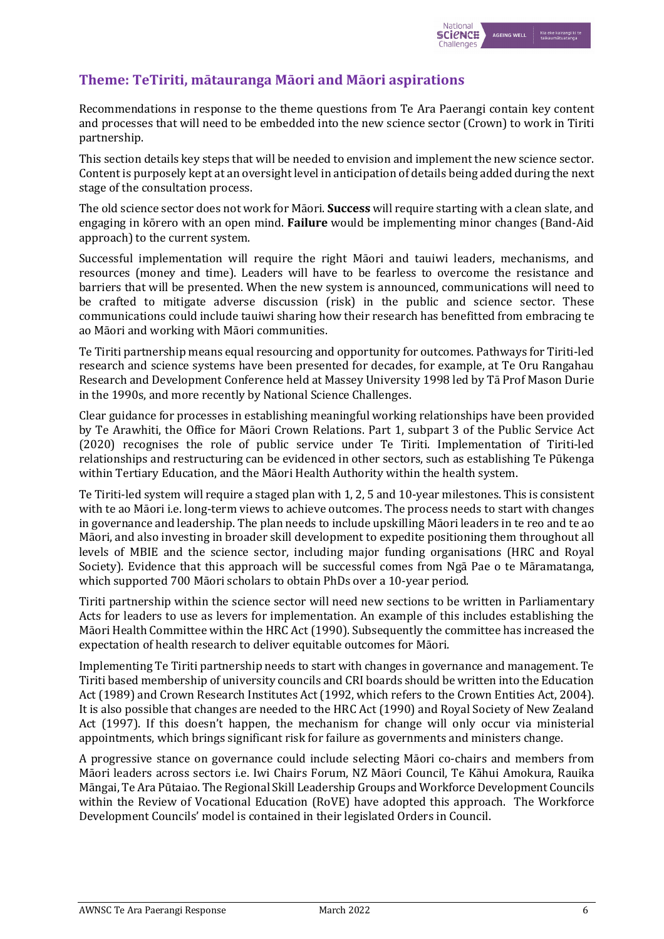

# **Theme: TeTiriti, mātauranga Māori and Māori aspirations**

Recommendations in response to the theme questions from Te Ara Paerangi contain key content and processes that will need to be embedded into the new science sector (Crown) to work in Tiriti partnership.

This section details key steps that will be needed to envision and implement the new science sector. Content is purposely kept at an oversight level in anticipation of details being added during the next stage of the consultation process.

The old science sector does not work for Māori. **Success** will require starting with a clean slate, and engaging in kōrero with an open mind. **Failure** would be implementing minor changes (Band-Aid approach) to the current system.

Successful implementation will require the right Māori and tauiwi leaders, mechanisms, and resources (money and time). Leaders will have to be fearless to overcome the resistance and barriers that will be presented. When the new system is announced, communications will need to be crafted to mitigate adverse discussion (risk) in the public and science sector. These communications could include tauiwi sharing how their research has benefitted from embracing te ao Māori and working with Māori communities.

Te Tiriti partnership means equal resourcing and opportunity for outcomes. Pathways for Tiriti-led research and science systems have been presented for decades, for example, at Te Oru Rangahau Research and Development Conference held at Massey University 1998 led by Tā Prof Mason Durie in the 1990s, and more recently by National Science Challenges.

Clear guidance for processes in establishing meaningful working relationships have been provided by Te Arawhiti, the Office for Māori Crown Relations. Part 1, subpart 3 of the Public Service Act (2020) recognises the role of public service under Te Tiriti. Implementation of Tiriti-led relationships and restructuring can be evidenced in other sectors, such as establishing Te Pūkenga within Tertiary Education, and the Māori Health Authority within the health system.

Te Tiriti-led system will require a staged plan with 1, 2, 5 and 10-year milestones. This is consistent with te ao Māori *i.e.* long-term views to achieve outcomes. The process needs to start with changes in governance and leadership. The plan needs to include upskilling Māori leaders in te reo and te ao Māori, and also investing in broader skill development to expedite positioning them throughout all levels of MBIE and the science sector, including major funding organisations (HRC and Royal Society). Evidence that this approach will be successful comes from Nga Pae o te Māramatanga, which supported 700 Māori scholars to obtain PhDs over a 10-year period.

Tiriti partnership within the science sector will need new sections to be written in Parliamentary Acts for leaders to use as levers for implementation. An example of this includes establishing the Māori Health Committee within the HRC Act (1990). Subsequently the committee has increased the expectation of health research to deliver equitable outcomes for Māori.

Implementing Te Tiriti partnership needs to start with changes in governance and management. Te Tiriti based membership of university councils and CRI boards should be written into the Education Act (1989) and Crown Research Institutes Act (1992, which refers to the Crown Entities Act, 2004). It is also possible that changes are needed to the HRC Act (1990) and Royal Society of New Zealand Act (1997). If this doesn't happen, the mechanism for change will only occur via ministerial appointments, which brings significant risk for failure as governments and ministers change.

A progressive stance on governance could include selecting Māori co-chairs and members from Māori leaders across sectors i.e. Iwi Chairs Forum, NZ Māori Council, Te Kāhui Amokura, Rauika Māngai, Te Ara Pūtaiao. The Regional Skill Leadership Groups and Workforce Development Councils within the Review of Vocational Education (RoVE) have adopted this approach. The Workforce Development Councils' model is contained in their legislated Orders in Council.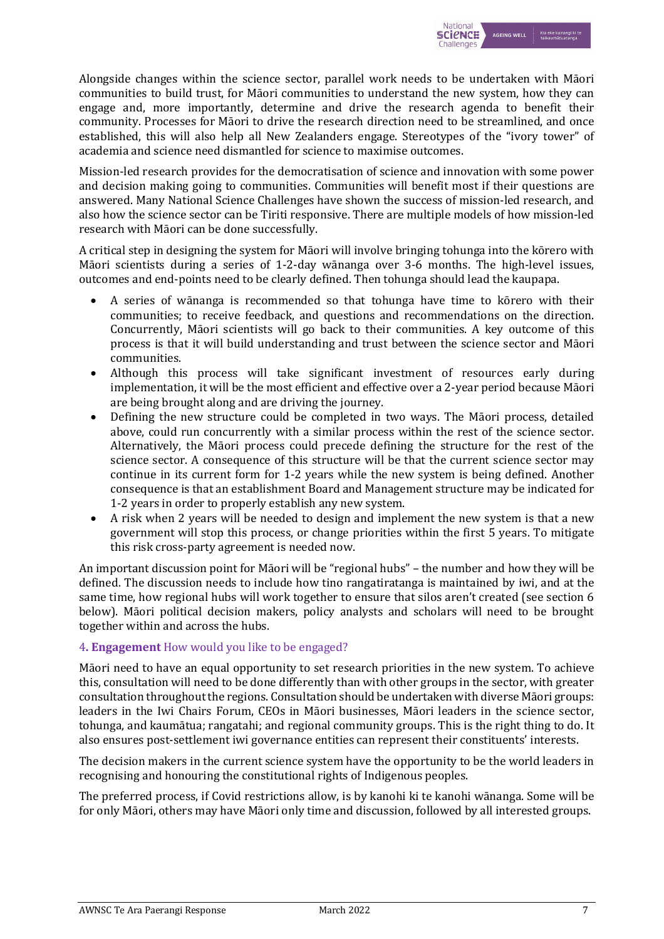

Alongside changes within the science sector, parallel work needs to be undertaken with Māori communities to build trust, for Māori communities to understand the new system, how they can engage and, more importantly, determine and drive the research agenda to benefit their community. Processes for Māori to drive the research direction need to be streamlined, and once established, this will also help all New Zealanders engage. Stereotypes of the "ivory tower" of academia and science need dismantled for science to maximise outcomes.

Mission-led research provides for the democratisation of science and innovation with some power and decision making going to communities. Communities will benefit most if their questions are answered. Many National Science Challenges have shown the success of mission-led research, and also how the science sector can be Tiriti responsive. There are multiple models of how mission-led research with Māori can be done successfully.

A critical step in designing the system for Māori will involve bringing tohunga into the kōrero with Māori scientists during a series of 1-2-day wānanga over 3-6 months. The high-level issues, outcomes and end-points need to be clearly defined. Then tohunga should lead the kaupapa.

- A series of wānanga is recommended so that tohunga have time to kōrero with their communities; to receive feedback, and questions and recommendations on the direction. Concurrently, Māori scientists will go back to their communities. A key outcome of this process is that it will build understanding and trust between the science sector and Māori communities.
- Although this process will take significant investment of resources early during implementation, it will be the most efficient and effective over a 2-year period because Māori are being brought along and are driving the journey.
- Defining the new structure could be completed in two ways. The Māori process, detailed above, could run concurrently with a similar process within the rest of the science sector. Alternatively, the Māori process could precede defining the structure for the rest of the science sector. A consequence of this structure will be that the current science sector may continue in its current form for 1-2 years while the new system is being defined. Another consequence is that an establishment Board and Management structure may be indicated for 1-2 years in order to properly establish any new system.
- A risk when 2 years will be needed to design and implement the new system is that a new government will stop this process, or change priorities within the first 5 years. To mitigate this risk cross-party agreement is needed now.

An important discussion point for Māori will be "regional hubs" – the number and how they will be defined. The discussion needs to include how tino rangatiratanga is maintained by iwi, and at the same time, how regional hubs will work together to ensure that silos aren't created (see section 6 below). Māori political decision makers, policy analysts and scholars will need to be brought together within and across the hubs.

## 4. **Engagement** How would you like to be engaged?

Māori need to have an equal opportunity to set research priorities in the new system. To achieve this, consultation will need to be done differently than with other groups in the sector, with greater consultation throughout the regions. Consultation should be undertaken with diverse Māori groups: leaders in the Iwi Chairs Forum, CEOs in Māori businesses, Māori leaders in the science sector, tohunga, and kaumātua; rangatahi; and regional community groups. This is the right thing to do. It also ensures post-settlement iwi governance entities can represent their constituents' interests.

The decision makers in the current science system have the opportunity to be the world leaders in recognising and honouring the constitutional rights of Indigenous peoples.

The preferred process, if Covid restrictions allow, is by kanohi ki te kanohi wānanga. Some will be for only Māori, others may have Māori only time and discussion, followed by all interested groups.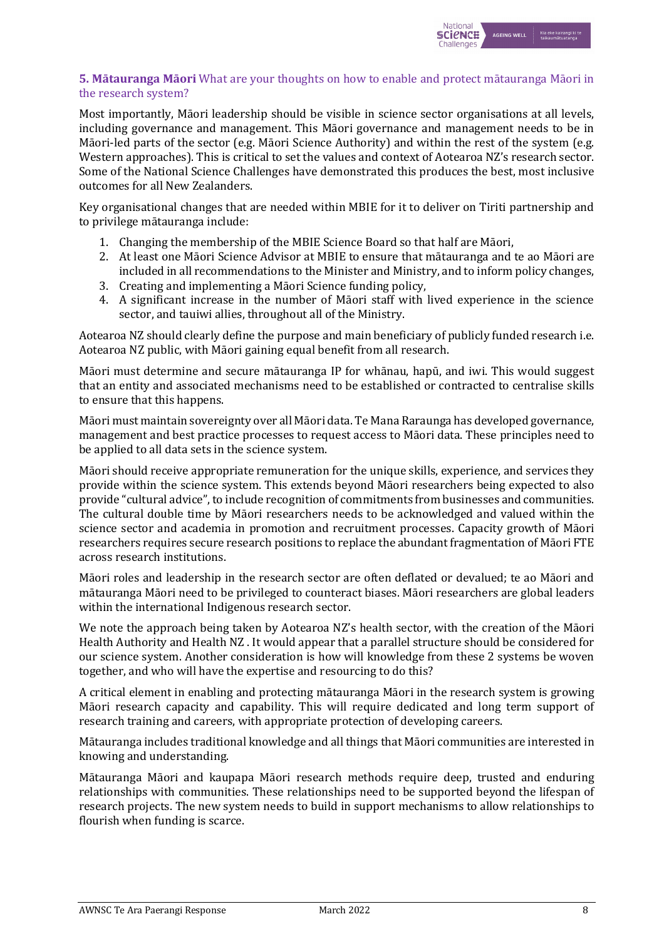

## **5. Mātauranga Māori** What are your thoughts on how to enable and protect mātauranga Māori in the research system?

Most importantly, Māori leadership should be visible in science sector organisations at all levels, including governance and management. This Māori governance and management needs to be in Māori-led parts of the sector (e.g. Māori Science Authority) and within the rest of the system (e.g. Western approaches). This is critical to set the values and context of Aotearoa NZ's research sector. Some of the National Science Challenges have demonstrated this produces the best, most inclusive outcomes for all New Zealanders.

Key organisational changes that are needed within MBIE for it to deliver on Tiriti partnership and to privilege mātauranga include:

- 1. Changing the membership of the MBIE Science Board so that half are Māori,
- 2. At least one Māori Science Advisor at MBIE to ensure that mātauranga and te ao Māori are included in all recommendations to the Minister and Ministry, and to inform policy changes,
- 3. Creating and implementing a Māori Science funding policy,
- 4. A significant increase in the number of Māori staff with lived experience in the science sector, and tauiwi allies, throughout all of the Ministry.

Aotearoa NZ should clearly define the purpose and main beneficiary of publicly funded research i.e. Aotearoa NZ public, with Māori gaining equal benefit from all research.

Māori must determine and secure mātauranga IP for whānau, hapū, and iwi. This would suggest that an entity and associated mechanisms need to be established or contracted to centralise skills to ensure that this happens.

Māori must maintain sovereignty over all Māori data. Te Mana Raraunga has developed governance, management and best practice processes to request access to Māori data. These principles need to be applied to all data sets in the science system.

Māori should receive appropriate remuneration for the unique skills, experience, and services they provide within the science system. This extends beyond Māori researchers being expected to also provide "cultural advice", to include recognition of commitments from businesses and communities. The cultural double time by Māori researchers needs to be acknowledged and valued within the science sector and academia in promotion and recruitment processes. Capacity growth of Māori researchers requires secure research positions to replace the abundant fragmentation of Māori FTE across research institutions.

Māori roles and leadership in the research sector are often deflated or devalued; te ao Māori and mātauranga Māori need to be privileged to counteract biases. Māori researchers are global leaders within the international Indigenous research sector.

We note the approach being taken by Aotearoa NZ's health sector, with the creation of the Māori Health Authority and Health NZ. It would appear that a parallel structure should be considered for our science system. Another consideration is how will knowledge from these 2 systems be woven together, and who will have the expertise and resourcing to do this?

A critical element in enabling and protecting mātauranga Māori in the research system is growing Māori research capacity and capability. This will require dedicated and long term support of research training and careers, with appropriate protection of developing careers.

Mātauranga includes traditional knowledge and all things that Māori communities are interested in knowing and understanding.

Mātauranga Māori and kaupapa Māori research methods require deep, trusted and enduring relationships with communities. These relationships need to be supported beyond the lifespan of research projects. The new system needs to build in support mechanisms to allow relationships to flourish when funding is scarce.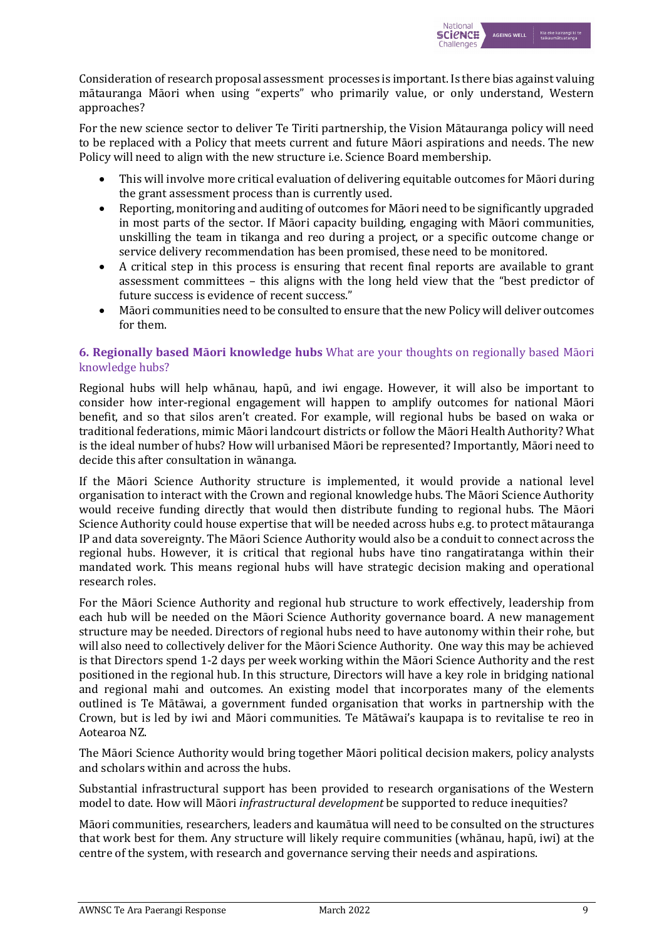

Consideration of research proposal assessment processes is important. Is there bias against valuing mātauranga Māori when using "experts" who primarily value, or only understand, Western approaches?

For the new science sector to deliver Te Tiriti partnership, the Vision Mātauranga policy will need to be replaced with a Policy that meets current and future Māori aspirations and needs. The new Policy will need to align with the new structure i.e. Science Board membership.

- This will involve more critical evaluation of delivering equitable outcomes for Māori during the grant assessment process than is currently used.
- Reporting, monitoring and auditing of outcomes for Māori need to be significantly upgraded in most parts of the sector. If Māori capacity building, engaging with Māori communities, unskilling the team in tikanga and reo during a project, or a specific outcome change or service delivery recommendation has been promised, these need to be monitored.
- A critical step in this process is ensuring that recent final reports are available to grant assessment committees  $-$  this aligns with the long held view that the "best predictor of future success is evidence of recent success."
- Māori communities need to be consulted to ensure that the new Policy will deliver outcomes for them.

## **6. Regionally based Māori knowledge hubs** What are your thoughts on regionally based Māori knowledge hubs?

Regional hubs will help whānau, hapū, and iwi engage. However, it will also be important to consider how inter-regional engagement will happen to amplify outcomes for national Māori benefit, and so that silos aren't created. For example, will regional hubs be based on waka or traditional federations, mimic Māori landcourt districts or follow the Māori Health Authority? What is the ideal number of hubs? How will urbanised Māori be represented? Importantly, Māori need to decide this after consultation in wānanga.

If the Māori Science Authority structure is implemented, it would provide a national level organisation to interact with the Crown and regional knowledge hubs. The Māori Science Authority would receive funding directly that would then distribute funding to regional hubs. The Māori Science Authority could house expertise that will be needed across hubs e.g. to protect mātauranga IP and data sovereignty. The Māori Science Authority would also be a conduit to connect across the regional hubs. However, it is critical that regional hubs have tino rangatiratanga within their mandated work. This means regional hubs will have strategic decision making and operational research roles.

For the Māori Science Authority and regional hub structure to work effectively, leadership from each hub will be needed on the Māori Science Authority governance board. A new management structure may be needed. Directors of regional hubs need to have autonomy within their rohe, but will also need to collectively deliver for the Māori Science Authority. One way this may be achieved is that Directors spend 1-2 days per week working within the Māori Science Authority and the rest positioned in the regional hub. In this structure, Directors will have a key role in bridging national and regional mahi and outcomes. An existing model that incorporates many of the elements outlined is Te Mātāwai, a government funded organisation that works in partnership with the Crown, but is led by iwi and Māori communities. Te Mātāwai's kaupapa is to revitalise te reo in Aotearoa NZ.

The Māori Science Authority would bring together Māori political decision makers, policy analysts and scholars within and across the hubs.

Substantial infrastructural support has been provided to research organisations of the Western model to date. How will Māori *infrastructural development* be supported to reduce inequities?

Māori communities, researchers, leaders and kaumātua will need to be consulted on the structures that work best for them. Any structure will likely require communities (whānau, hapū, iwi) at the centre of the system, with research and governance serving their needs and aspirations.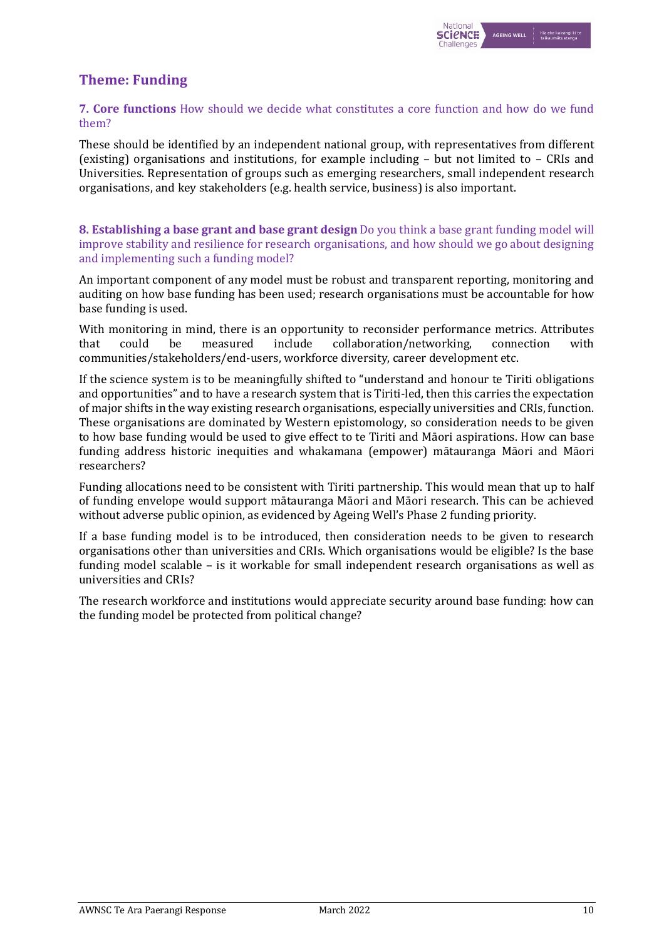# **Theme: Funding**

## **7. Core functions** How should we decide what constitutes a core function and how do we fund them?

These should be identified by an independent national group, with representatives from different (existing) organisations and institutions, for example including  $-$  but not limited to  $-$  CRIs and Universities. Representation of groups such as emerging researchers, small independent research organisations, and key stakeholders (e.g. health service, business) is also important.

## **8.** Establishing a base grant and base grant design Do you think a base grant funding model will improve stability and resilience for research organisations, and how should we go about designing and implementing such a funding model?

An important component of any model must be robust and transparent reporting, monitoring and auditing on how base funding has been used; research organisations must be accountable for how base funding is used.

With monitoring in mind, there is an opportunity to reconsider performance metrics. Attributes that could be measured include collaboration/networking, connection with communities/stakeholders/end-users, workforce diversity, career development etc.

If the science system is to be meaningfully shifted to "understand and honour te Tiriti obligations and opportunities" and to have a research system that is Tiriti-led, then this carries the expectation of major shifts in the way existing research organisations, especially universities and CRIs, function. These organisations are dominated by Western epistomology, so consideration needs to be given to how base funding would be used to give effect to te Tiriti and Māori aspirations. How can base funding address historic inequities and whakamana (empower) mātauranga Māori and Māori researchers?

Funding allocations need to be consistent with Tiriti partnership. This would mean that up to half of funding envelope would support mātauranga Māori and Māori research. This can be achieved without adverse public opinion, as evidenced by Ageing Well's Phase 2 funding priority.

If a base funding model is to be introduced, then consideration needs to be given to research organisations other than universities and CRIs. Which organisations would be eligible? Is the base funding model scalable - is it workable for small independent research organisations as well as universities and CRIs?

The research workforce and institutions would appreciate security around base funding: how can the funding model be protected from political change?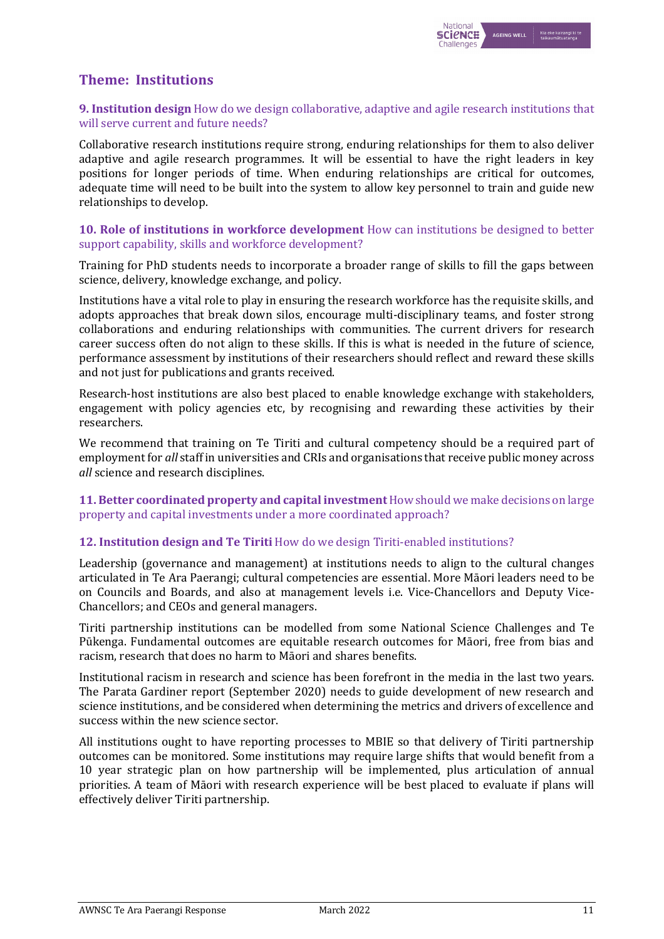

# **Theme: Institutions**

## **9. Institution design** How do we design collaborative, adaptive and agile research institutions that will serve current and future needs?

Collaborative research institutions require strong, enduring relationships for them to also deliver adaptive and agile research programmes. It will be essential to have the right leaders in key positions for longer periods of time. When enduring relationships are critical for outcomes, adequate time will need to be built into the system to allow key personnel to train and guide new relationships to develop.

### **10. Role of institutions in workforce development** How can institutions be designed to better support capability, skills and workforce development?

Training for PhD students needs to incorporate a broader range of skills to fill the gaps between science, delivery, knowledge exchange, and policy.

Institutions have a vital role to play in ensuring the research workforce has the requisite skills, and adopts approaches that break down silos, encourage multi-disciplinary teams, and foster strong collaborations and enduring relationships with communities. The current drivers for research career success often do not align to these skills. If this is what is needed in the future of science, performance assessment by institutions of their researchers should reflect and reward these skills and not just for publications and grants received.

Research-host institutions are also best placed to enable knowledge exchange with stakeholders, engagement with policy agencies etc, by recognising and rewarding these activities by their researchers.

We recommend that training on Te Tiriti and cultural competency should be a required part of employment for *all* staff in universities and CRIs and organisations that receive public money across *all* science and research disciplines.

### **11. Better coordinated property and capital investment** How should we make decisions on large property and capital investments under a more coordinated approach?

## **12. Institution design and Te Tiriti** How do we design Tiriti-enabled institutions?

Leadership (governance and management) at institutions needs to align to the cultural changes articulated in Te Ara Paerangi; cultural competencies are essential. More Māori leaders need to be on Councils and Boards, and also at management levels *i.e.* Vice-Chancellors and Deputy Vice-Chancellors; and CEOs and general managers.

Tiriti partnership institutions can be modelled from some National Science Challenges and Te Pūkenga. Fundamental outcomes are equitable research outcomes for Māori, free from bias and racism, research that does no harm to Māori and shares benefits.

Institutional racism in research and science has been forefront in the media in the last two years. The Parata Gardiner report (September 2020) needs to guide development of new research and science institutions, and be considered when determining the metrics and drivers of excellence and success within the new science sector.

All institutions ought to have reporting processes to MBIE so that delivery of Tiriti partnership outcomes can be monitored. Some institutions may require large shifts that would benefit from a 10 year strategic plan on how partnership will be implemented, plus articulation of annual priorities. A team of Māori with research experience will be best placed to evaluate if plans will effectively deliver Tiriti partnership.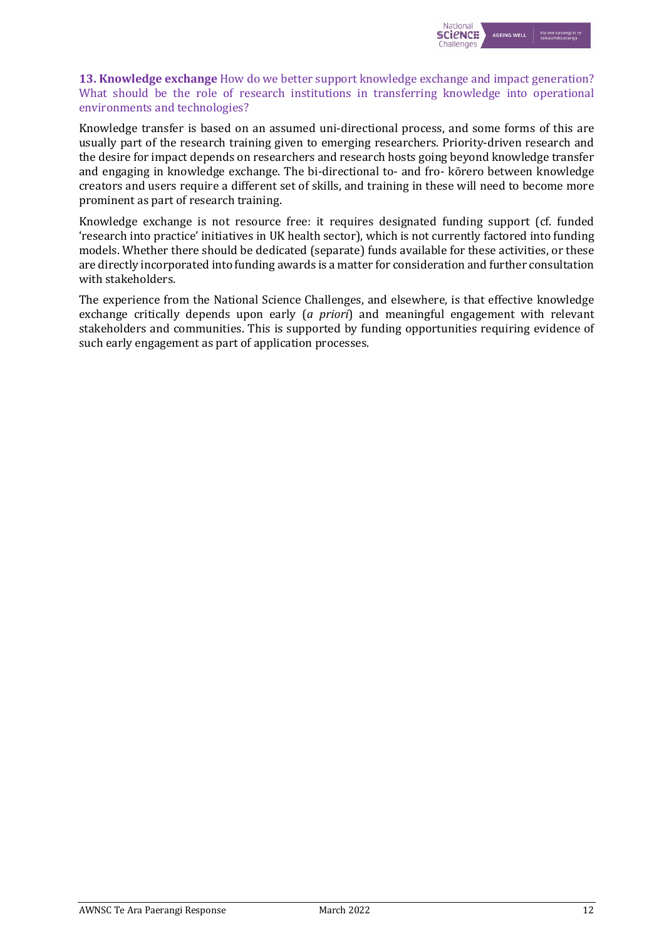

## **13. Knowledge exchange** How do we better support knowledge exchange and impact generation? What should be the role of research institutions in transferring knowledge into operational environments and technologies?

Knowledge transfer is based on an assumed uni-directional process, and some forms of this are usually part of the research training given to emerging researchers. Priority-driven research and the desire for impact depends on researchers and research hosts going beyond knowledge transfer and engaging in knowledge exchange. The bi-directional to- and fro- kōrero between knowledge creators and users require a different set of skills, and training in these will need to become more prominent as part of research training.

Knowledge exchange is not resource free: it requires designated funding support (cf. funded 'research into practice' initiatives in UK health sector), which is not currently factored into funding models. Whether there should be dedicated (separate) funds available for these activities, or these are directly incorporated into funding awards is a matter for consideration and further consultation with stakeholders.

The experience from the National Science Challenges, and elsewhere, is that effective knowledge exchange critically depends upon early (*a priori*) and meaningful engagement with relevant stakeholders and communities. This is supported by funding opportunities requiring evidence of such early engagement as part of application processes.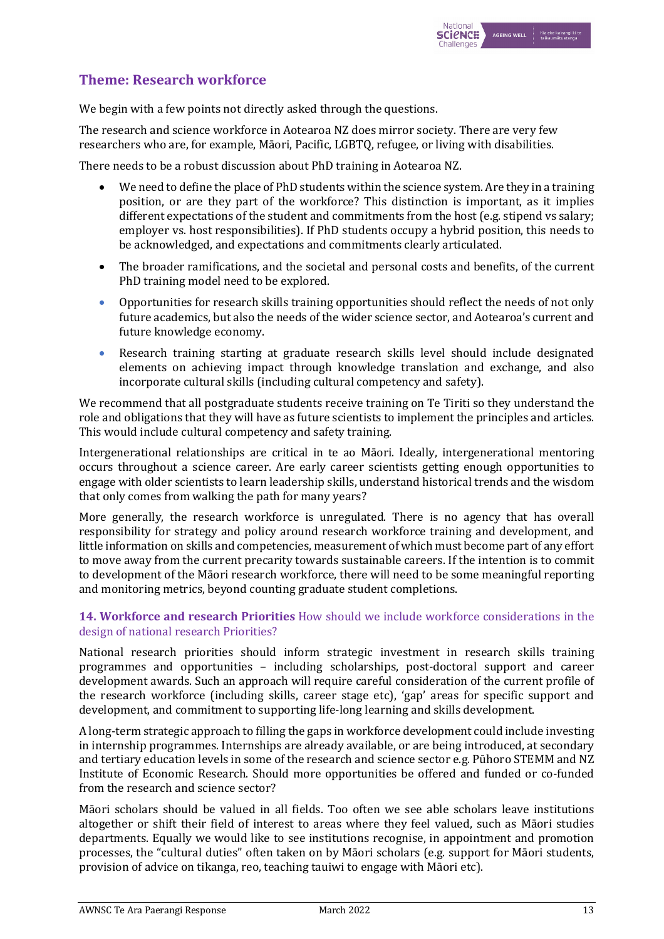# **Theme: Research workforce**

We begin with a few points not directly asked through the questions.

The research and science workforce in Aotearoa NZ does mirror society. There are very few researchers who are, for example, Māori, Pacific, LGBTQ, refugee, or living with disabilities.

There needs to be a robust discussion about PhD training in Aotearoa NZ.

- We need to define the place of PhD students within the science system. Are they in a training position, or are they part of the workforce? This distinction is important, as it implies different expectations of the student and commitments from the host (e.g. stipend vs salary; employer vs. host responsibilities). If PhD students occupy a hybrid position, this needs to be acknowledged, and expectations and commitments clearly articulated.
- The broader ramifications, and the societal and personal costs and benefits, of the current PhD training model need to be explored.
- Opportunities for research skills training opportunities should reflect the needs of not only future academics, but also the needs of the wider science sector, and Aotearoa's current and future knowledge economy.
- Research training starting at graduate research skills level should include designated elements on achieving impact through knowledge translation and exchange, and also incorporate cultural skills (including cultural competency and safety).

We recommend that all postgraduate students receive training on Te Tiriti so they understand the role and obligations that they will have as future scientists to implement the principles and articles. This would include cultural competency and safety training.

Intergenerational relationships are critical in te ao Māori. Ideally, intergenerational mentoring occurs throughout a science career. Are early career scientists getting enough opportunities to engage with older scientists to learn leadership skills, understand historical trends and the wisdom that only comes from walking the path for many years?

More generally, the research workforce is unregulated. There is no agency that has overall responsibility for strategy and policy around research workforce training and development, and little information on skills and competencies, measurement of which must become part of any effort to move away from the current precarity towards sustainable careers. If the intention is to commit to development of the Māori research workforce, there will need to be some meaningful reporting and monitoring metrics, beyond counting graduate student completions.

## **14. Workforce and research Priorities** How should we include workforce considerations in the design of national research Priorities?

National research priorities should inform strategic investment in research skills training programmes and opportunities – including scholarships, post-doctoral support and career development awards. Such an approach will require careful consideration of the current profile of the research workforce (including skills, career stage etc), 'gap' areas for specific support and development, and commitment to supporting life-long learning and skills development.

A long-term strategic approach to filling the gaps in workforce development could include investing in internship programmes. Internships are already available, or are being introduced, at secondary and tertiary education levels in some of the research and science sector e.g. Pūhoro STEMM and NZ Institute of Economic Research. Should more opportunities be offered and funded or co-funded from the research and science sector?

Māori scholars should be valued in all fields. Too often we see able scholars leave institutions altogether or shift their field of interest to areas where they feel valued, such as Māori studies departments. Equally we would like to see institutions recognise, in appointment and promotion processes, the "cultural duties" often taken on by Māori scholars (e.g. support for Māori students, provision of advice on tikanga, reo, teaching tauiwi to engage with Māori etc).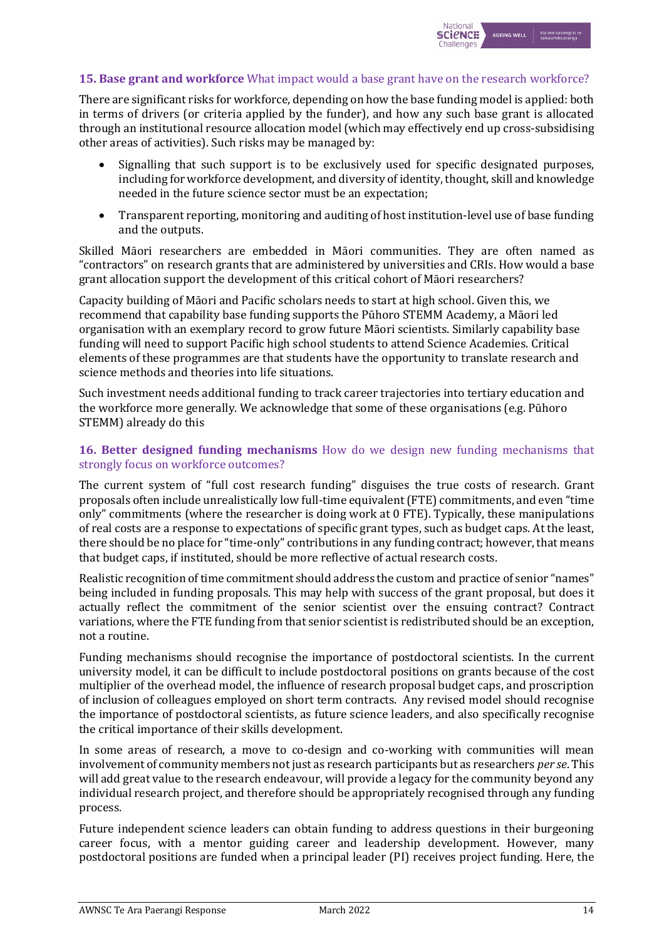

## **15. Base grant and workforce** What impact would a base grant have on the research workforce?

There are significant risks for workforce, depending on how the base funding model is applied: both in terms of drivers (or criteria applied by the funder), and how any such base grant is allocated through an institutional resource allocation model (which may effectively end up cross-subsidising other areas of activities). Such risks may be managed by:

- Signalling that such support is to be exclusively used for specific designated purposes, including for workforce development, and diversity of identity, thought, skill and knowledge needed in the future science sector must be an expectation;
- Transparent reporting, monitoring and auditing of host institution-level use of base funding and the outputs.

Skilled Māori researchers are embedded in Māori communities. They are often named as "contractors" on research grants that are administered by universities and CRIs. How would a base grant allocation support the development of this critical cohort of Māori researchers?

Capacity building of Māori and Pacific scholars needs to start at high school. Given this, we recommend that capability base funding supports the Pūhoro STEMM Academy, a Māori led organisation with an exemplary record to grow future Māori scientists. Similarly capability base funding will need to support Pacific high school students to attend Science Academies. Critical elements of these programmes are that students have the opportunity to translate research and science methods and theories into life situations.

Such investment needs additional funding to track career trajectories into tertiary education and the workforce more generally. We acknowledge that some of these organisations (e.g. Pūhoro STEMM) already do this

### **16. Better designed funding mechanisms** How do we design new funding mechanisms that strongly focus on workforce outcomes?

The current system of "full cost research funding" disguises the true costs of research. Grant proposals often include unrealistically low full-time equivalent (FTE) commitments, and even "time only" commitments (where the researcher is doing work at 0 FTE). Typically, these manipulations of real costs are a response to expectations of specific grant types, such as budget caps. At the least, there should be no place for "time-only" contributions in any funding contract; however, that means that budget caps, if instituted, should be more reflective of actual research costs.

Realistic recognition of time commitment should address the custom and practice of senior "names" being included in funding proposals. This may help with success of the grant proposal, but does it actually reflect the commitment of the senior scientist over the ensuing contract? Contract variations, where the FTE funding from that senior scientist is redistributed should be an exception, not a routine.

Funding mechanisms should recognise the importance of postdoctoral scientists. In the current university model, it can be difficult to include postdoctoral positions on grants because of the cost multiplier of the overhead model, the influence of research proposal budget caps, and proscription of inclusion of colleagues employed on short term contracts. Any revised model should recognise the importance of postdoctoral scientists, as future science leaders, and also specifically recognise the critical importance of their skills development.

In some areas of research, a move to co-design and co-working with communities will mean involvement of community members not just as research participants but as researchers *per se*. This will add great value to the research endeavour, will provide a legacy for the community beyond any individual research project, and therefore should be appropriately recognised through any funding process.

Future independent science leaders can obtain funding to address questions in their burgeoning career focus, with a mentor guiding career and leadership development. However, many postdoctoral positions are funded when a principal leader (PI) receives project funding. Here, the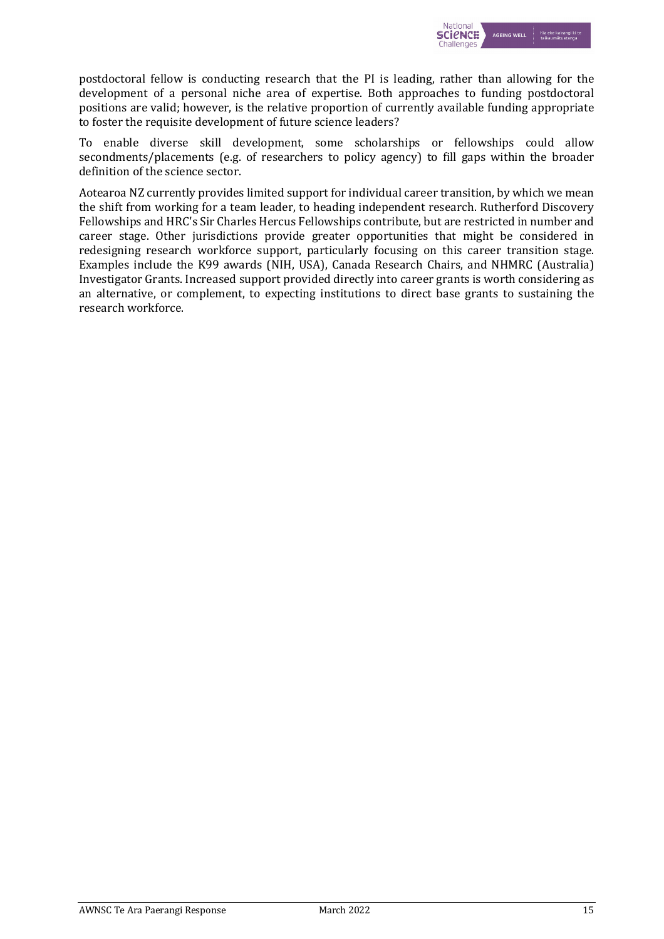

postdoctoral fellow is conducting research that the PI is leading, rather than allowing for the development of a personal niche area of expertise. Both approaches to funding postdoctoral positions are valid; however, is the relative proportion of currently available funding appropriate to foster the requisite development of future science leaders?

To enable diverse skill development, some scholarships or fellowships could allow secondments/placements (e.g. of researchers to policy agency) to fill gaps within the broader definition of the science sector.

Aotearoa NZ currently provides limited support for individual career transition, by which we mean the shift from working for a team leader, to heading independent research. Rutherford Discovery Fellowships and HRC's Sir Charles Hercus Fellowships contribute, but are restricted in number and career stage. Other jurisdictions provide greater opportunities that might be considered in redesigning research workforce support, particularly focusing on this career transition stage. Examples include the K99 awards (NIH, USA), Canada Research Chairs, and NHMRC (Australia) Investigator Grants. Increased support provided directly into career grants is worth considering as an alternative, or complement, to expecting institutions to direct base grants to sustaining the research workforce.